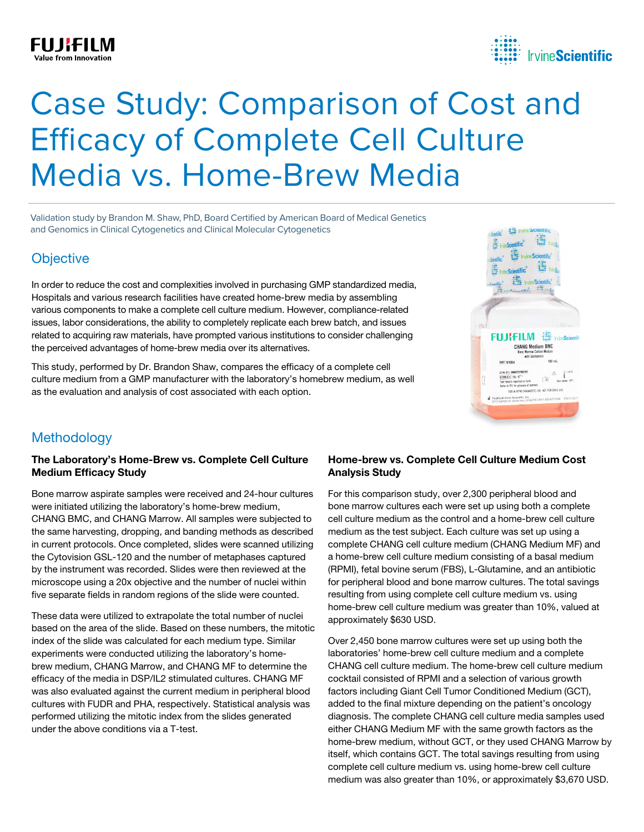## **FUJIFILM**



# Case Study: Comparison of Cost and Efficacy of Complete Cell Culture Media vs. Home-Brew Media

Validation study by Brandon M. Shaw, PhD, Board Certified by American Board of Medical Genetics and Genomics in Clinical Cytogenetics and Clinical Molecular Cytogenetics

## **Objective**

In order to reduce the cost and complexities involved in purchasing GMP standardized media, Hospitals and various research facilities have created home-brew media by assembling various components to make a complete cell culture medium. However, compliance-related issues, labor considerations, the ability to completely replicate each brew batch, and issues related to acquiring raw materials, have prompted various institutions to consider challenging the perceived advantages of home-brew media over its alternatives.

This study, performed by Dr. Brandon Shaw, compares the efficacy of a complete cell culture medium from a GMP manufacturer with the laboratory's homebrew medium, as well as the evaluation and analysis of cost associated with each option.



## **Methodology**

#### The Laboratory's Home-Brew vs. Complete Cell Culture Medium Efficacy Study

Bone marrow aspirate samples were received and 24-hour cultures were initiated utilizing the laboratory's home-brew medium, CHANG BMC, and CHANG Marrow. All samples were subjected to the same harvesting, dropping, and banding methods as described in current protocols. Once completed, slides were scanned utilizing the Cytovision GSL-120 and the number of metaphases captured by the instrument was recorded. Slides were then reviewed at the microscope using a 20x objective and the number of nuclei within five separate fields in random regions of the slide were counted.

These data were utilized to extrapolate the total number of nuclei based on the area of the slide. Based on these numbers, the mitotic index of the slide was calculated for each medium type. Similar experiments were conducted utilizing the laboratory's homebrew medium, CHANG Marrow, and CHANG MF to determine the efficacy of the media in DSP/IL2 stimulated cultures. CHANG MF was also evaluated against the current medium in peripheral blood cultures with FUDR and PHA, respectively. Statistical analysis was performed utilizing the mitotic index from the slides generated under the above conditions via a T-test.

#### Home-brew vs. Complete Cell Culture Medium Cost Analysis Study

For this comparison study, over 2,300 peripheral blood and bone marrow cultures each were set up using both a complete cell culture medium as the control and a home-brew cell culture medium as the test subject. Each culture was set up using a complete CHANG cell culture medium (CHANG Medium MF) and a home-brew cell culture medium consisting of a basal medium (RPMI), fetal bovine serum (FBS), L-Glutamine, and an antibiotic for peripheral blood and bone marrow cultures. The total savings resulting from using complete cell culture medium vs. using home-brew cell culture medium was greater than 10%, valued at approximately \$630 USD.

Over 2,450 bone marrow cultures were set up using both the laboratories' home-brew cell culture medium and a complete CHANG cell culture medium. The home-brew cell culture medium cocktail consisted of RPMI and a selection of various growth factors including Giant Cell Tumor Conditioned Medium (GCT), added to the final mixture depending on the patient's oncology diagnosis. The complete CHANG cell culture media samples used either CHANG Medium MF with the same growth factors as the home-brew medium, without GCT, or they used CHANG Marrow by itself, which contains GCT. The total savings resulting from using complete cell culture medium vs. using home-brew cell culture medium was also greater than 10%, or approximately \$3,670 USD.